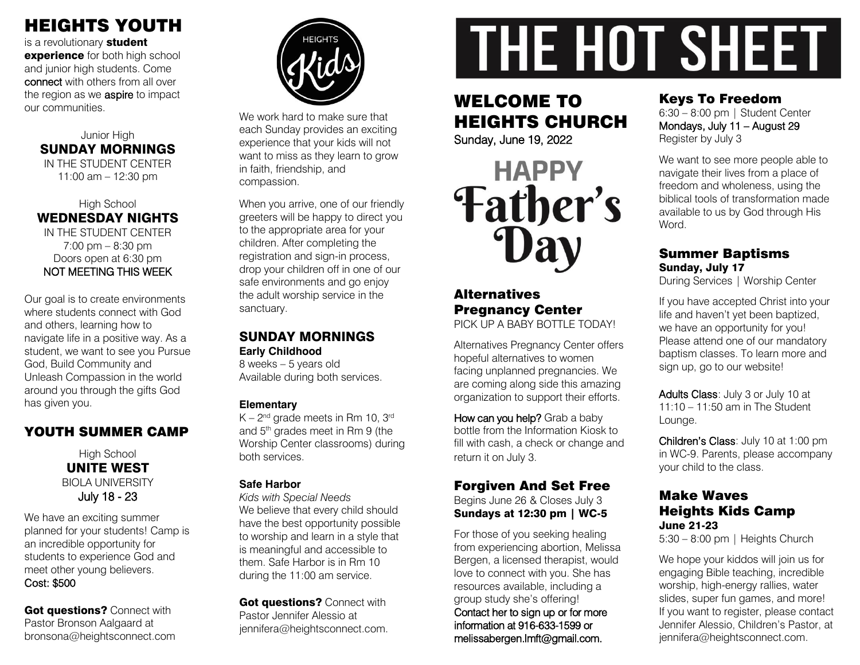# HEIGHTS YOUTH

is a revolutionary student experience for both high school and junior high students. Come connect with others from all over the region as we **aspire** to impact our communities.

#### Junior High SUNDAY MORNINGS IN THE STUDENT CENTER 11:00 am – 12:30 pm

High School WEDNESDAY NIGHTS IN THE STUDENT CENTER  $7:00 \text{ pm} - 8:30 \text{ pm}$ Doors open at 6:30 pm NOT MEETING THIS WEEK

Our goal is to create environments where students connect with God and others, learning how to navigate life in a positive way. As a student, we want to see you Pursue God, Build Community and Unleash Compassion in the world around you through the gifts God has given you.

# YOUTH SUMMER CAMP

High School UNITE WEST BIOLA UNIVERSITY July 18 - 23

We have an exciting summer planned for your students! Camp is an incredible opportunity for students to experience God and meet other young believers. Cost: \$500

Got questions? Connect with Pastor Bronson Aalgaard at bronsona@heightsconnect.com



We work hard to make sure that each Sunday provides an exciting experience that your kids will not want to miss as they learn to grow in faith, friendship, and compassion.

When you arrive, one of our friendly greeters will be happy to direct you to the appropriate area for your children. After completing the registration and sign-in process, drop your children off in one of our safe environments and go enjoy the adult worship service in the sanctuary.

#### SUNDAY MORNINGS **Early Childhood**

8 weeks – 5 years old Available during both services.

#### **Elementary**

 $K - 2<sup>nd</sup>$  grade meets in Rm 10, 3<sup>rd</sup> and 5th grades meet in Rm 9 (the Worship Center classrooms) during both services.

#### **Safe Harbor**

*Kids with Special Needs* We believe that every child should have the best opportunity possible to worship and learn in a style that is meaningful and accessible to them. Safe Harbor is in Rm 10 during the 11:00 am service.

Got questions? Connect with Pastor Jennifer Alessio at jennifera@heightsconnect.com.

# **THE HOT SHEET**

# WELCOME TO HEIGHTS CHURCH

Sunday, June 19, 2022



#### **Alternatives** Pregnancy Center PICK UP A BABY BOTTLE TODAY!

Alternatives Pregnancy Center offers hopeful alternatives to women facing unplanned pregnancies. We are coming along side this amazing organization to support their efforts.

How can you help? Grab a baby bottle from the Information Kiosk to fill with cash, a check or change and return it on July 3.

# Forgiven And Set Free

Begins June 26 & Closes July 3 Sundays at 12:30 pm | WC-5

For those of you seeking healing from experiencing abortion, Melissa Bergen, a licensed therapist, would love to connect with you. She has resources available, including a group study she's offering! Contact her to sign up or for more information at 916-633-1599 or melissabergen.lmft@gmail.com.

# Keys To Freedom

6:30 – 8:00 pm | Student Center Mondays, July 11 – August 29 Register by July 3

We want to see more people able to navigate their lives from a place of freedom and wholeness, using the biblical tools of transformation made available to us by God through His Word.

# Summer Baptisms Sunday, July 17

During Services | Worship Center

If you have accepted Christ into your life and haven't yet been baptized, we have an opportunity for you! Please attend one of our mandatory baptism classes. To learn more and sign up, go to our website!

Adults Class: July 3 or July 10 at 11:10 – 11:50 am in The Student Lounge.

Children's Class: July 10 at 1:00 pm in WC-9. Parents, please accompany your child to the class.

### Make Waves Heights Kids Camp June 21-23

5:30 – 8:00 pm | Heights Church

We hope your kiddos will join us for engaging Bible teaching, incredible worship, high-energy rallies, water slides, super fun games, and more! If you want to register, please contact Jennifer Alessio, Children's Pastor, at jennifera@heightsconnect.com.